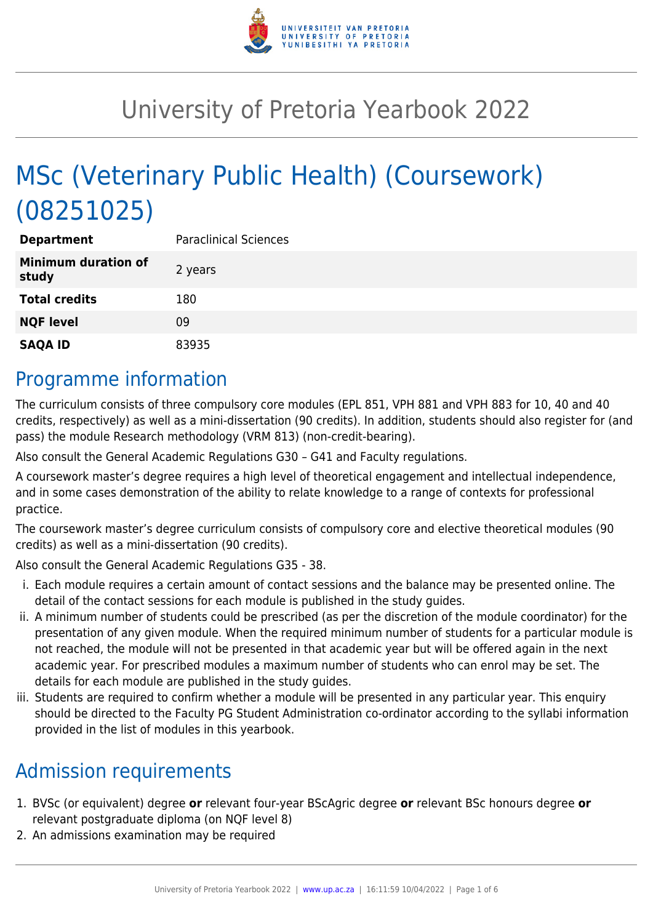

# University of Pretoria Yearbook 2022

# MSc (Veterinary Public Health) (Coursework) (08251025)

| <b>Department</b>                   | <b>Paraclinical Sciences</b> |
|-------------------------------------|------------------------------|
| <b>Minimum duration of</b><br>study | 2 years                      |
| <b>Total credits</b>                | 180                          |
| <b>NQF level</b>                    | 09                           |
| <b>SAQA ID</b>                      | 83935                        |

## Programme information

The curriculum consists of three compulsory core modules (EPL 851, VPH 881 and VPH 883 for 10, 40 and 40 credits, respectively) as well as a mini-dissertation (90 credits). In addition, students should also register for (and pass) the module Research methodology (VRM 813) (non-credit-bearing).

Also consult the General Academic Regulations G30 – G41 and Faculty regulations.

A coursework master's degree requires a high level of theoretical engagement and intellectual independence, and in some cases demonstration of the ability to relate knowledge to a range of contexts for professional practice.

The coursework master's degree curriculum consists of compulsory core and elective theoretical modules (90 credits) as well as a mini-dissertation (90 credits).

Also consult the General Academic Regulations G35 - 38.

- i. Each module requires a certain amount of contact sessions and the balance may be presented online. The detail of the contact sessions for each module is published in the study guides.
- ii. A minimum number of students could be prescribed (as per the discretion of the module coordinator) for the presentation of any given module. When the required minimum number of students for a particular module is not reached, the module will not be presented in that academic year but will be offered again in the next academic year. For prescribed modules a maximum number of students who can enrol may be set. The details for each module are published in the study guides.
- iii. Students are required to confirm whether a module will be presented in any particular year. This enquiry should be directed to the Faculty PG Student Administration co-ordinator according to the syllabi information provided in the list of modules in this yearbook.

# Admission requirements

- 1. BVSc (or equivalent) degree **or** relevant four-year BScAgric degree **or** relevant BSc honours degree **or** relevant postgraduate diploma (on NQF level 8)
- 2. An admissions examination may be required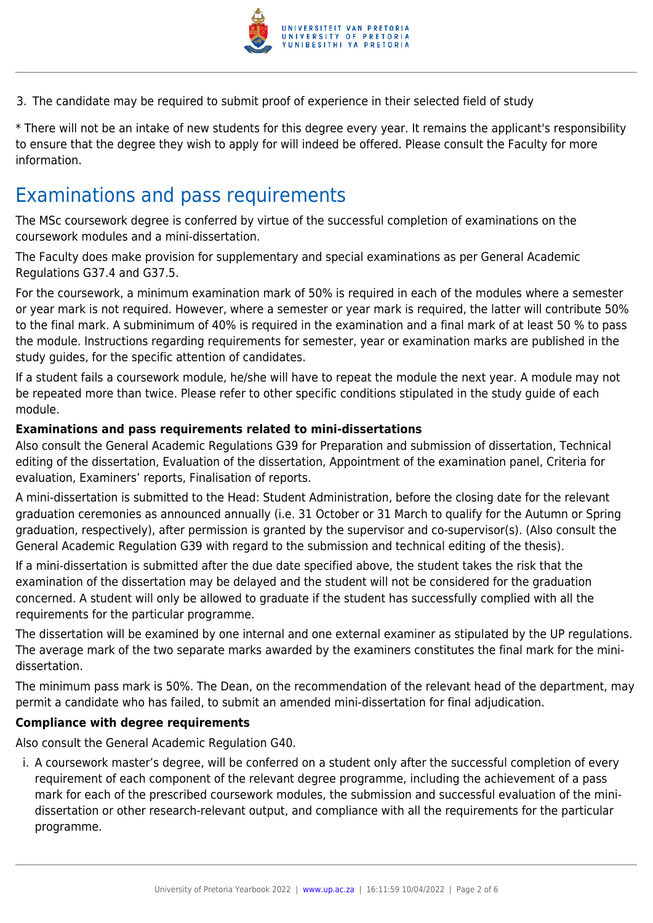

3. The candidate may be required to submit proof of experience in their selected field of study

\* There will not be an intake of new students for this degree every year. It remains the applicant's responsibility to ensure that the degree they wish to apply for will indeed be offered. Please consult the Faculty for more information.

### Examinations and pass requirements

The MSc coursework degree is conferred by virtue of the successful completion of examinations on the coursework modules and a mini-dissertation.

The Faculty does make provision for supplementary and special examinations as per General Academic Regulations G37.4 and G37.5.

For the coursework, a minimum examination mark of 50% is required in each of the modules where a semester or year mark is not required. However, where a semester or year mark is required, the latter will contribute 50% to the final mark. A subminimum of 40% is required in the examination and a final mark of at least 50 % to pass the module. Instructions regarding requirements for semester, year or examination marks are published in the study guides, for the specific attention of candidates.

If a student fails a coursework module, he/she will have to repeat the module the next year. A module may not be repeated more than twice. Please refer to other specific conditions stipulated in the study guide of each module.

#### **Examinations and pass requirements related to mini-dissertations**

Also consult the General Academic Regulations G39 for Preparation and submission of dissertation, Technical editing of the dissertation, Evaluation of the dissertation, Appointment of the examination panel, Criteria for evaluation, Examiners' reports, Finalisation of reports.

A mini-dissertation is submitted to the Head: Student Administration, before the closing date for the relevant graduation ceremonies as announced annually (i.e. 31 October or 31 March to qualify for the Autumn or Spring graduation, respectively), after permission is granted by the supervisor and co-supervisor(s). (Also consult the General Academic Regulation G39 with regard to the submission and technical editing of the thesis).

If a mini-dissertation is submitted after the due date specified above, the student takes the risk that the examination of the dissertation may be delayed and the student will not be considered for the graduation concerned. A student will only be allowed to graduate if the student has successfully complied with all the requirements for the particular programme.

The dissertation will be examined by one internal and one external examiner as stipulated by the UP regulations. The average mark of the two separate marks awarded by the examiners constitutes the final mark for the minidissertation.

The minimum pass mark is 50%. The Dean, on the recommendation of the relevant head of the department, may permit a candidate who has failed, to submit an amended mini-dissertation for final adjudication.

#### **Compliance with degree requirements**

Also consult the General Academic Regulation G40.

i. A coursework master's degree, will be conferred on a student only after the successful completion of every requirement of each component of the relevant degree programme, including the achievement of a pass mark for each of the prescribed coursework modules, the submission and successful evaluation of the minidissertation or other research-relevant output, and compliance with all the requirements for the particular programme.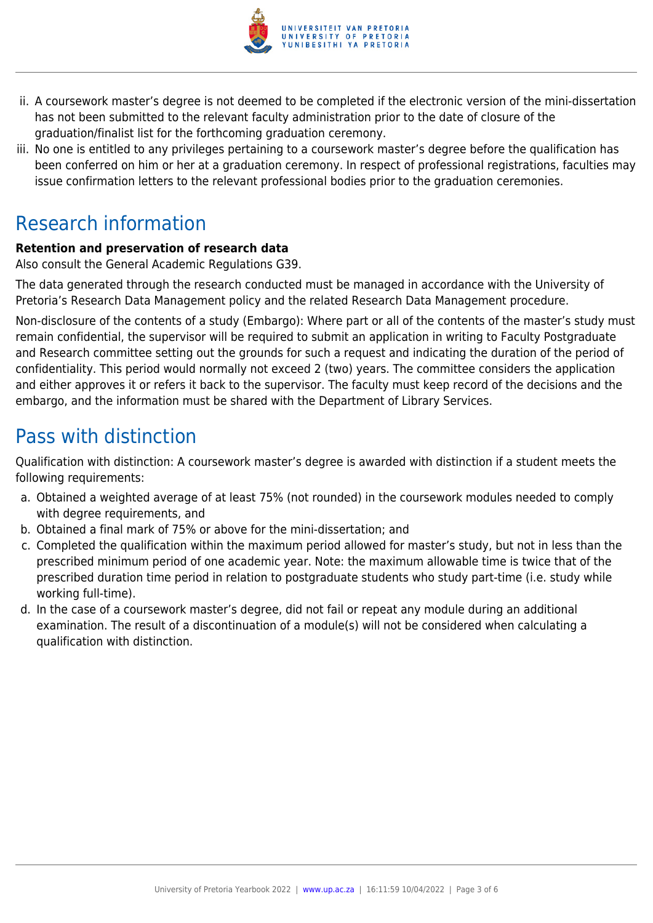

- ii. A coursework master's degree is not deemed to be completed if the electronic version of the mini-dissertation has not been submitted to the relevant faculty administration prior to the date of closure of the graduation/finalist list for the forthcoming graduation ceremony.
- iii. No one is entitled to any privileges pertaining to a coursework master's degree before the qualification has been conferred on him or her at a graduation ceremony. In respect of professional registrations, faculties may issue confirmation letters to the relevant professional bodies prior to the graduation ceremonies.

# Research information

#### **Retention and preservation of research data**

Also consult the General Academic Regulations G39.

The data generated through the research conducted must be managed in accordance with the University of Pretoria's Research Data Management policy and the related Research Data Management procedure.

Non-disclosure of the contents of a study (Embargo): Where part or all of the contents of the master's study must remain confidential, the supervisor will be required to submit an application in writing to Faculty Postgraduate and Research committee setting out the grounds for such a request and indicating the duration of the period of confidentiality. This period would normally not exceed 2 (two) years. The committee considers the application and either approves it or refers it back to the supervisor. The faculty must keep record of the decisions and the embargo, and the information must be shared with the Department of Library Services.

# Pass with distinction

Qualification with distinction: A coursework master's degree is awarded with distinction if a student meets the following requirements:

- a. Obtained a weighted average of at least 75% (not rounded) in the coursework modules needed to comply with degree requirements, and
- b. Obtained a final mark of 75% or above for the mini-dissertation; and
- c. Completed the qualification within the maximum period allowed for master's study, but not in less than the prescribed minimum period of one academic year. Note: the maximum allowable time is twice that of the prescribed duration time period in relation to postgraduate students who study part-time (i.e. study while working full-time).
- d. In the case of a coursework master's degree, did not fail or repeat any module during an additional examination. The result of a discontinuation of a module(s) will not be considered when calculating a qualification with distinction.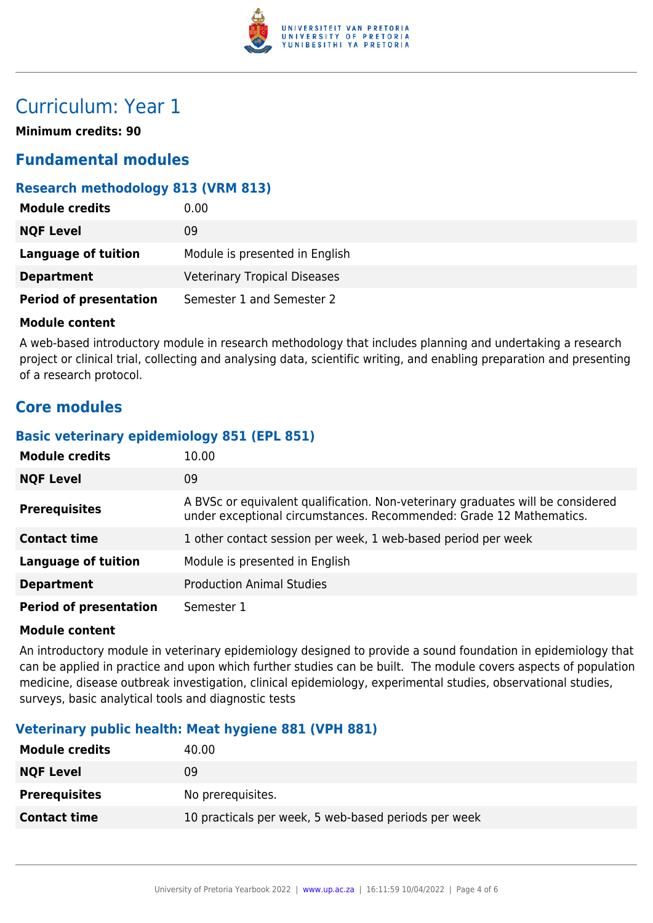

# Curriculum: Year 1

**Minimum credits: 90**

#### **Fundamental modules**

#### **Research methodology 813 (VRM 813)**

| <b>Module credits</b>         | 0.00                                |
|-------------------------------|-------------------------------------|
| <b>NQF Level</b>              | 09                                  |
| Language of tuition           | Module is presented in English      |
| <b>Department</b>             | <b>Veterinary Tropical Diseases</b> |
| <b>Period of presentation</b> | Semester 1 and Semester 2           |

#### **Module content**

A web-based introductory module in research methodology that includes planning and undertaking a research project or clinical trial, collecting and analysing data, scientific writing, and enabling preparation and presenting of a research protocol.

#### **Core modules**

#### **Basic veterinary epidemiology 851 (EPL 851)**

| <b>Module credits</b>         | 10.00                                                                                                                                                  |
|-------------------------------|--------------------------------------------------------------------------------------------------------------------------------------------------------|
| <b>NQF Level</b>              | 09                                                                                                                                                     |
| <b>Prerequisites</b>          | A BVSc or equivalent qualification. Non-veterinary graduates will be considered<br>under exceptional circumstances. Recommended: Grade 12 Mathematics. |
| <b>Contact time</b>           | 1 other contact session per week, 1 web-based period per week                                                                                          |
| <b>Language of tuition</b>    | Module is presented in English                                                                                                                         |
| <b>Department</b>             | <b>Production Animal Studies</b>                                                                                                                       |
| <b>Period of presentation</b> | Semester 1                                                                                                                                             |

#### **Module content**

An introductory module in veterinary epidemiology designed to provide a sound foundation in epidemiology that can be applied in practice and upon which further studies can be built. The module covers aspects of population medicine, disease outbreak investigation, clinical epidemiology, experimental studies, observational studies, surveys, basic analytical tools and diagnostic tests

#### **Veterinary public health: Meat hygiene 881 (VPH 881)**

| 40.00                                                |
|------------------------------------------------------|
| 09                                                   |
| No prerequisites.                                    |
| 10 practicals per week, 5 web-based periods per week |
|                                                      |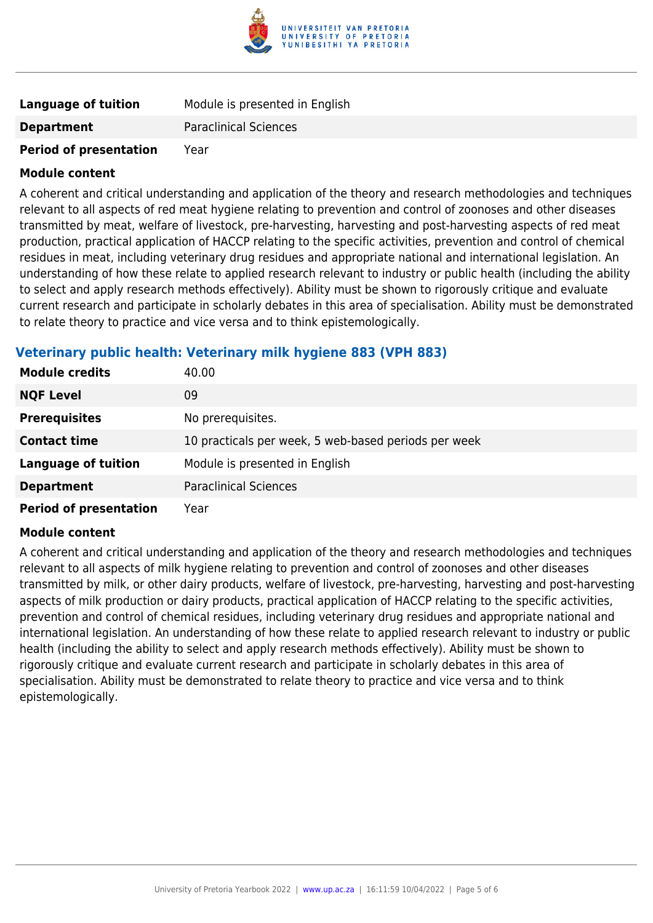

| Language of tuition           | Module is presented in English |
|-------------------------------|--------------------------------|
| <b>Department</b>             | <b>Paraclinical Sciences</b>   |
| <b>Period of presentation</b> | Year                           |

#### **Module content**

A coherent and critical understanding and application of the theory and research methodologies and techniques relevant to all aspects of red meat hygiene relating to prevention and control of zoonoses and other diseases transmitted by meat, welfare of livestock, pre-harvesting, harvesting and post-harvesting aspects of red meat production, practical application of HACCP relating to the specific activities, prevention and control of chemical residues in meat, including veterinary drug residues and appropriate national and international legislation. An understanding of how these relate to applied research relevant to industry or public health (including the ability to select and apply research methods effectively). Ability must be shown to rigorously critique and evaluate current research and participate in scholarly debates in this area of specialisation. Ability must be demonstrated to relate theory to practice and vice versa and to think epistemologically.

#### **Veterinary public health: Veterinary milk hygiene 883 (VPH 883)**

| <b>Module credits</b>         | 40.00                                                |
|-------------------------------|------------------------------------------------------|
| <b>NQF Level</b>              | 09                                                   |
| <b>Prerequisites</b>          | No prerequisites.                                    |
| <b>Contact time</b>           | 10 practicals per week, 5 web-based periods per week |
| <b>Language of tuition</b>    | Module is presented in English                       |
| <b>Department</b>             | <b>Paraclinical Sciences</b>                         |
| <b>Period of presentation</b> | Year                                                 |

#### **Module content**

A coherent and critical understanding and application of the theory and research methodologies and techniques relevant to all aspects of milk hygiene relating to prevention and control of zoonoses and other diseases transmitted by milk, or other dairy products, welfare of livestock, pre-harvesting, harvesting and post-harvesting aspects of milk production or dairy products, practical application of HACCP relating to the specific activities, prevention and control of chemical residues, including veterinary drug residues and appropriate national and international legislation. An understanding of how these relate to applied research relevant to industry or public health (including the ability to select and apply research methods effectively). Ability must be shown to rigorously critique and evaluate current research and participate in scholarly debates in this area of specialisation. Ability must be demonstrated to relate theory to practice and vice versa and to think epistemologically.